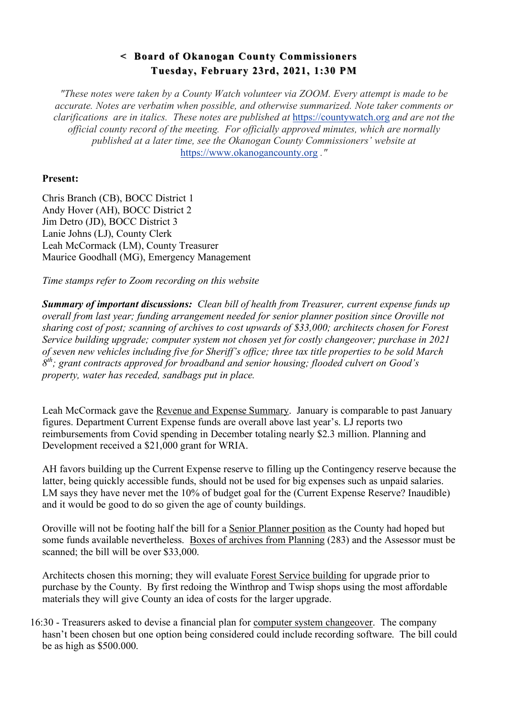## **< Board of Okanogan County Commissioners < Board of Okanogan County Commissioners Tuesday, February 23rd, 2021, 1:30 PM**

*"These notes were taken by a County Watch volunteer via ZOOM. Every attempt is made to be accurate. Notes are verbatim when possible, and otherwise summarized. Note taker comments or clarifications are in italics. These notes are published at* https://countywatch.org *and are not the official county record of the meeting. For officially approved minutes, which are normally published at a later time, see the Okanogan County Commissioners' website at*  https://www.okanogancounty.org *."*

## **Present:**

Chris Branch (CB), BOCC District 1 Andy Hover (AH), BOCC District 2 Jim Detro (JD), BOCC District 3 Lanie Johns (LJ), County Clerk Leah McCormack (LM), County Treasurer Maurice Goodhall (MG), Emergency Management

*Time stamps refer to Zoom recording on this website*

*Summary of important discussions: Clean bill of health from Treasurer, current expense funds up overall from last year; funding arrangement needed for senior planner position since Oroville not sharing cost of post; scanning of archives to cost upwards of \$33,000; architects chosen for Forest Service building upgrade; computer system not chosen yet for costly changeover; purchase in 2021 of seven new vehicles including five for Sheriff's office; three tax title properties to be sold March 8th; grant contracts approved for broadband and senior housing; flooded culvert on Good's property, water has receded, sandbags put in place.* 

Leah McCormack gave the Revenue and Expense Summary. January is comparable to past January figures. Department Current Expense funds are overall above last year's. LJ reports two reimbursements from Covid spending in December totaling nearly \$2.3 million. Planning and Development received a \$21,000 grant for WRIA.

AH favors building up the Current Expense reserve to filling up the Contingency reserve because the latter, being quickly accessible funds, should not be used for big expenses such as unpaid salaries. LM says they have never met the 10% of budget goal for the (Current Expense Reserve? Inaudible) and it would be good to do so given the age of county buildings.

Oroville will not be footing half the bill for a Senior Planner position as the County had hoped but some funds available nevertheless. Boxes of archives from Planning (283) and the Assessor must be scanned; the bill will be over \$33,000.

Architects chosen this morning; they will evaluate Forest Service building for upgrade prior to purchase by the County. By first redoing the Winthrop and Twisp shops using the most affordable materials they will give County an idea of costs for the larger upgrade.

16:30 - Treasurers asked to devise a financial plan for computer system changeover. The company hasn't been chosen but one option being considered could include recording software. The bill could be as high as \$500.000.